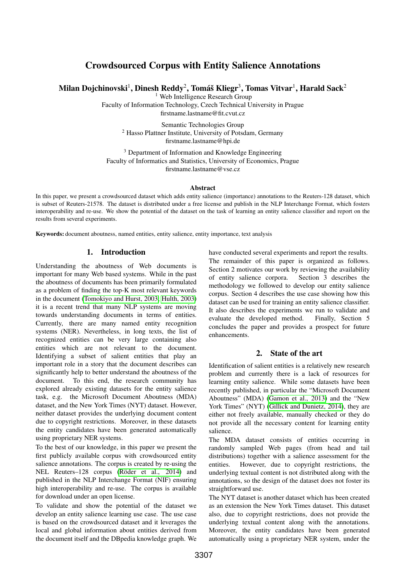# Crowdsourced Corpus with Entity Salience Annotations

Milan Dojchinovski $^1$ , Dinesh Reddy $^2$ , Tomáš Kliegr $^3$ , Tomas Vitvar $^1$ , Harald Sack $^2$ 

<sup>1</sup> Web Intelligence Research Group

Faculty of Information Technology, Czech Technical University in Prague firstname.lastname@fit.cvut.cz

Semantic Technologies Group <sup>2</sup> Hasso Plattner Institute, University of Potsdam, Germany firstname.lastname@hpi.de

<sup>3</sup> Department of Information and Knowledge Engineering Faculty of Informatics and Statistics, University of Economics, Prague firstname.lastname@vse.cz

#### Abstract

In this paper, we present a crowdsourced dataset which adds entity salience (importance) annotations to the Reuters-128 dataset, which is subset of Reuters-21578. The dataset is distributed under a free license and publish in the NLP Interchange Format, which fosters interoperability and re-use. We show the potential of the dataset on the task of learning an entity salience classifier and report on the results from several experiments.

Keywords: document aboutness, named entities, entity salience, entity importance, text analysis

# 1. Introduction

Understanding the aboutness of Web documents is important for many Web based systems. While in the past the aboutness of documents has been primarily formulated as a problem of finding the top-K most relevant keywords in the document [\(Tomokiyo and Hurst, 2003;](#page-4-0) [Hulth, 2003\)](#page-4-1) it is a recent trend that many NLP systems are moving towards understanding documents in terms of entities. Currently, there are many named entity recognition systems (NER). Nevertheless, in long texts, the list of recognized entities can be very large containing also entities which are not relevant to the document. Identifying a subset of salient entities that play an important role in a story that the document describes can significantly help to better understand the aboutness of the document. To this end, the research community has explored already existing datasets for the entity salience task, e.g. the Microsoft Document Aboutness (MDA) dataset, and the New York Times (NYT) dataset. However, neither dataset provides the underlying document content due to copyright restrictions. Moreover, in these datasets the entity candidates have been generated automatically using proprietary NER systems.

To the best of our knowledge, in this paper we present the first publicly available corpus with crowdsourced entity salience annotations. The corpus is created by re-using the NEL Reuters–128 corpus [\(Röder et al., 2014\)](#page-4-2) and published in the NLP Interchange Format (NIF) ensuring high interoperability and re-use. The corpus is available for download under an open license.

To validate and show the potential of the dataset we develop an entity salience learning use case. The use case is based on the crowdsourced dataset and it leverages the local and global information about entities derived from the document itself and the DBpedia knowledge graph. We have conducted several experiments and report the results. The remainder of this paper is organized as follows. Section 2 motivates our work by reviewing the availability of entity salience corpora. Section 3 describes the methodology we followed to develop our entity salience corpus. Section 4 describes the use case showing how this dataset can be used for training an entity salience classifier. It also describes the experiments we run to validate and evaluate the developed method. Finally, Section 5 evaluate the developed method. concludes the paper and provides a prospect for future enhancements.

## 2. State of the art

Identification of salient entities is a relatively new research problem and currently there is a lack of resources for learning entity salience. While some datasets have been recently published, in particular the "Microsoft Document Aboutness" (MDA) [\(Gamon et al., 2013\)](#page-4-3) and the "New York Times" (NYT) [\(Gillick and Dunietz, 2014\)](#page-4-4), they are either not freely available, manually checked or they do not provide all the necessary content for learning entity salience.

The MDA dataset consists of entities occurring in randomly sampled Web pages (from head and tail distributions) together with a salience assessment for the entities. However, due to copyright restrictions, the underlying textual content is not distributed along with the annotations, so the design of the dataset does not foster its straightforward use.

The NYT dataset is another dataset which has been created as an extension the New York Times dataset. This dataset also, due to copyright restrictions, does not provide the underlying textual content along with the annotations. Moreover, the entity candidates have been generated automatically using a proprietary NER system, under the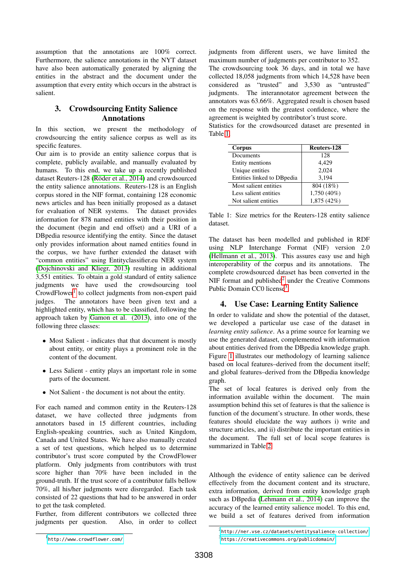assumption that the annotations are 100% correct. Furthermore, the salience annotations in the NYT dataset have also been automatically generated by aligning the entities in the abstract and the document under the assumption that every entity which occurs in the abstract is salient.

# 3. Crowdsourcing Entity Salience Annotations

In this section, we present the methodology of crowdsourcing the entity salience corpus as well as its specific features.

Our aim is to provide an entity salience corpus that is complete, publicly available, and manually evaluated by humans. To this end, we take up a recently published dataset Reuters-128 [\(Röder et al., 2014\)](#page-4-2) and crowdsourced the entity salience annotations. Reuters-128 is an English corpus stored in the NIF format, containing 128 economic news articles and has been initially proposed as a dataset for evaluation of NER systems. The dataset provides information for 878 named entities with their position in the document (begin and end offset) and a URI of a DBpedia resource identifying the entity. Since the dataset only provides information about named entities found in the corpus, we have further extended the dataset with "common entities" using Entityclassifier.eu NER system [\(Dojchinovski and Kliegr, 2013\)](#page-4-5) resulting in additional 3,551 entities. To obtain a gold standard of entity salience judgments we have used the crowdsourcing tool CrowdFlower<sup>[1](#page-1-0)</sup> to collect judgments from non-expert paid judges. The annotators have been given text and a highlighted entity, which has to be classified, following the approach taken by [Gamon et al. \(2013\)](#page-4-3), into one of the following three classes:

- Most Salient indicates that that document is mostly about entity, or entity plays a prominent role in the content of the document.
- Less Salient entity plays an important role in some parts of the document.
- Not Salient the document is not about the entity.

For each named and common entity in the Reuters-128 dataset, we have collected three judgments from annotators based in 15 different countries, including English-speaking countries, such as United Kingdom, Canada and United States. We have also manually created a set of test questions, which helped us to determine contributor's trust score computed by the CrowdFlower platform. Only judgments from contributors with trust score higher than 70% have been included in the ground-truth. If the trust score of a contributor falls bellow 70%, all his/her judgments were disregarded. Each task consisted of 22 questions that had to be answered in order to get the task completed.

Further, from different contributors we collected three judgments per question. Also, in order to collect judgments from different users, we have limited the maximum number of judgments per contributor to 352. The crowdsourcing took 36 days, and in total we have collected 18,058 judgments from which 14,528 have been considered as "trusted" and 3,530 as "untrusted" judgments. The interannotator agreement between the annotators was 63.66%. Aggregated result is chosen based on the response with the greatest confidence, where the agreement is weighted by contributor's trust score.

Statistics for the crowdsourced dataset are presented in Table [1.](#page-1-1)

| Corpus                      | Reuters-128 |
|-----------------------------|-------------|
| Documents                   | 128         |
| <b>Entity mentions</b>      | 4,429       |
| Unique entities             | 2.024       |
| Entities linked to DB pedia | 3,194       |
| Most salient entities       | 804 (18%)   |
| Less salient entities       | 1,750 (40%) |
| Not salient entities        | 1,875 (42%) |

<span id="page-1-1"></span>Table 1: Size metrics for the Reuters-128 entity salience dataset.

The dataset has been modelled and published in RDF using NLP Interchange Format (NIF) version 2.0 [\(Hellmann et al., 2013\)](#page-4-6). This assures easy use and high interoperability of the corpus and its annotations. The complete crowdsourced dataset has been converted in the NIF format and published $2$  under the Creative Commons Public Domain CC0 license<sup>[3](#page-1-3)</sup>.

# 4. Use Case: Learning Entity Salience

In order to validate and show the potential of the dataset, we developed a particular use case of the dataset in *learning entity salience*. As a prime source for learning we use the generated dataset, complemented with information about entities derived from the DBpedia knowledge graph. Figure [1](#page-2-0) illustrates our methodology of learning salience based on local features–derived from the document itself; and global features–derived from the DBpedia knowledge graph.

The set of local features is derived only from the information available within the document. The main assumption behind this set of features is that the salience is function of the document's structure. In other words, these features should elucidate the way authors i) write and structure articles, and ii) distribute the important entities in the document. The full set of local scope features is summarized in Table [2.](#page-2-1)

Although the evidence of entity salience can be derived effectively from the document content and its structure, extra information, derived from entity knowledge graph such as DBpedia [\(Lehmann et al., 2014\)](#page-4-7) can improve the accuracy of the learned entity salience model. To this end, we build a set of features derived from information

<span id="page-1-0"></span><sup>1</sup> <http://www.crowdflower.com/>

<span id="page-1-3"></span><span id="page-1-2"></span> $^{2}$ <http://ner.vse.cz/datasets/entitysalience-collection/> 3 <https://creativecommons.org/publicdomain/>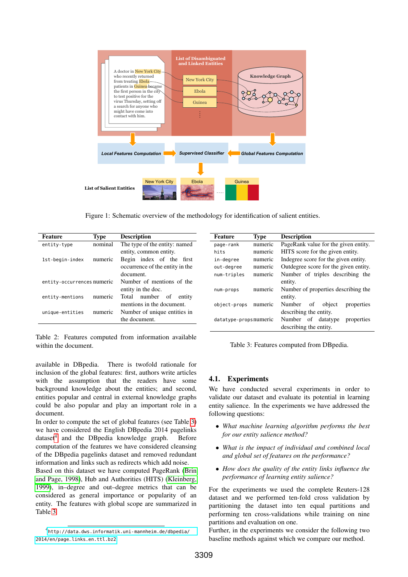

<span id="page-2-0"></span>Figure 1: Schematic overview of the methodology for identification of salient entities.

| Feature                    | <b>Type</b> | <b>Description</b>              | Feature               | <b>Type</b> | <b>Description</b>                     |
|----------------------------|-------------|---------------------------------|-----------------------|-------------|----------------------------------------|
| entity-type                | nominal     | The type of the entity: named   | page-rank             | numeric     | PageRank value for the given entity.   |
|                            |             | entity, common entity.          | hits                  | numeric     | HITS score for the given entity.       |
| 1st-begin-index            | numeric     | Begin index of the<br>first     | in-degree             | numeric     | Indegree score for the given entity.   |
|                            |             | occurrence of the entity in the | out-degree            | numeric     | Outdegree score for the given entity.  |
|                            |             | document.                       | num-triples           | numeric     | Number of triples describing the       |
| entity-occurrences numeric |             | Number of mentions of the       |                       |             | entity.                                |
|                            |             | entity in the doc.              | num-props             | numeric     | Number of properties describing the    |
| entity-mentions            | numeric     | number<br>Total<br>of<br>entity |                       |             | entity.                                |
|                            |             | mentions in the document.       | object-props          | numeric     | Number<br>of<br>object<br>properties   |
| unique-entities            | numeric     | Number of unique entities in    |                       |             | describing the entity.                 |
|                            |             | the document.                   | datatype-propsnumeric |             | Number<br>of<br>datatype<br>properties |
|                            |             |                                 |                       |             | describing the entity.                 |

<span id="page-2-1"></span>Table 2: Features computed from information available within the document.

available in DBpedia. There is twofold rationale for inclusion of the global features: first, authors write articles with the assumption that the readers have some background knowledge about the entities; and second, entities popular and central in external knowledge graphs could be also popular and play an important role in a document.

In order to compute the set of global features (see Table [3\)](#page-2-2) we have considered the English DBpedia 2014 pagelinks dataset<sup>[4](#page-2-3)</sup> and the DBpedia knowledge graph. Before computation of the features we have considered cleansing of the DBpedia pagelinks dataset and removed redundant information and links such as redirects which add noise.

Based on this dataset we have computed PageRank [\(Brin](#page-4-8) [and Page, 1998\)](#page-4-8), Hub and Authorities (HITS) [\(Kleinberg,](#page-4-9) [1999\)](#page-4-9), in–degree and out–degree metrics that can be considered as general importance or popularity of an entity. The features with global scope are summarized in Table [3.](#page-2-2)

#### <span id="page-2-2"></span>Table 3: Features computed from DBpedia.

## 4.1. Experiments

We have conducted several experiments in order to validate our dataset and evaluate its potential in learning entity salience. In the experiments we have addressed the following questions:

- *What machine learning algorithm performs the best for our entity salience method?*
- *What is the impact of individual and combined local and global set of features on the performance?*
- *How does the quality of the entity links influence the performance of learning entity salience?*

For the experiments we used the complete Reuters-128 dataset and we performed ten-fold cross validation by partitioning the dataset into ten equal partitions and performing ten cross-validations while training on nine partitions and evaluation on one.

Further, in the experiments we consider the following two baseline methods against which we compare our method.

<span id="page-2-3"></span><sup>4</sup> [http://data.dws.informatik.uni-mannheim.de/dbpedia/](http://data.dws.informatik.uni-mannheim.de/dbpedia/2014/en/page_links_en.ttl.bz2) [2014/en/page\\_links\\_en.ttl.bz2](http://data.dws.informatik.uni-mannheim.de/dbpedia/2014/en/page_links_en.ttl.bz2)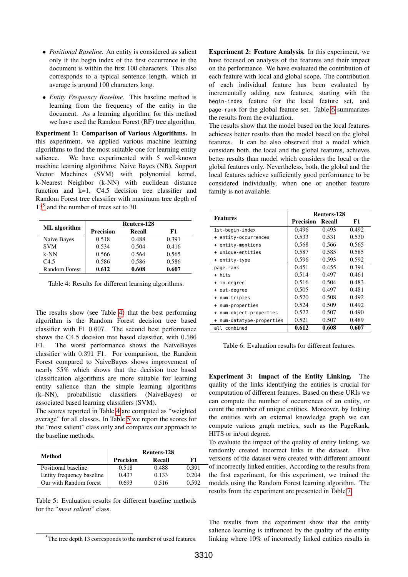- *Positional Baseline.* An entity is considered as salient only if the begin index of the first occurrence in the document is within the first 100 characters. This also corresponds to a typical sentence length, which in average is around 100 characters long.
- *Entity Frequency Baseline.* This baseline method is learning from the frequency of the entity in the document. As a learning algorithm, for this method we have used the Random Forest (RF) tree algorithm.

Experiment 1: Comparison of Various Algorithms. In this experiment, we applied various machine learning algorithms to find the most suitable one for learning entity salience. We have experimented with 5 well-known machine learning algorithms: Naive Bayes (NB), Support Vector Machines (SVM) with polynomial kernel, k-Nearest Neighbor (k-NN) with euclidean distance function and k=1, C4.5 decision tree classifier and Random Forest tree classifier with maximum tree depth of 13[5](#page-3-0) and the number of trees set to 30.

|               | Reuters-128      |        |       |  |
|---------------|------------------|--------|-------|--|
| ML algorithm  | <b>Precision</b> | Recall | F1    |  |
| Naive Bayes   | 0.518            | 0.488  | 0.391 |  |
| <b>SVM</b>    | 0.534            | 0.504  | 0.416 |  |
| k-NN          | 0.566            | 0.564  | 0.565 |  |
| $C_{4.5}$     | 0.586            | 0.586  | 0.586 |  |
| Random Forest | 0.612            | 0.608  | 0.607 |  |

<span id="page-3-1"></span>Table 4: Results for different learning algorithms.

The results show (see Table [4\)](#page-3-1) that the best performing algorithm is the Random Forest decision tree based classifier with F1 0.607. The second best performance shows the C4.5 decision tree based classifier, with 0.586 F1. The worst performance shows the NaiveBayes classifier with 0.391 F1. For comparison, the Random Forest compared to NaiveBayes shows improvement of nearly 55% which shows that the decision tree based classification algorithms are more suitable for learning entity salience than the simple learning algorithms (k–NN), probabilistic classifiers (NaiveBayes) or associated based learning classifiers (SVM).

The scores reported in Table [4](#page-3-1) are computed as "weighted average" for all classes. In Table [5](#page-3-2) we report the scores for the "most salient" class only and compares our approach to the baseline methods.

|                           | Reuters-128 |        |       |  |
|---------------------------|-------------|--------|-------|--|
| Method                    | Precision   | Recall | F1    |  |
| Positional baseline       | 0.518       | 0.488  | 0.391 |  |
| Entity frequency baseline | 0.437       | 0.133  | 0.204 |  |
| Our with Random forest    | 0.693       | 0.516  | 0.592 |  |

<span id="page-3-2"></span>Table 5: Evaluation results for different baseline methods for the "*most salient*" class.

Experiment 2: Feature Analysis. In this experiment, we have focused on analysis of the features and their impact on the performance. We have evaluated the contribution of each feature with local and global scope. The contribution of each individual feature has been evaluated by incrementally adding new features, starting with the begin-index feature for the local feature set, and page-rank for the global feature set. Table [6](#page-3-3) summarizes the results from the evaluation.

The results show that the model based on the local features achieves better results than the model based on the global features. It can be also observed that a model which considers both, the local and the global features, achieves better results than model which considers the local or the global features only. Nevertheless, both, the global and the local features achieve sufficiently good performance to be considered individually, when one or another feature family is not available.

|                              | <b>Reuters-128</b> |        |       |  |
|------------------------------|--------------------|--------|-------|--|
| <b>Features</b>              | <b>Precision</b>   | Recall | F1    |  |
| 1st-begin-index              | 0.496              | 0.493  | 0.492 |  |
| + entity-occurrences         | 0.533              | 0.531  | 0.530 |  |
| + entity-mentions            | 0.568              | 0.566  | 0.565 |  |
| unique-entities<br>$\ddot{}$ | 0.587              | 0.585  | 0.585 |  |
| + entity-type                | 0.596              | 0.593  | 0.592 |  |
| page-rank                    | 0.451              | 0.455  | 0.394 |  |
| + hits                       | 0.514              | 0.497  | 0.461 |  |
| + in-degree                  | 0.516              | 0.504  | 0.483 |  |
| + out-degree                 | 0.505              | 0.497  | 0.481 |  |
| num-triples<br>$\ddot{}$     | 0.520              | 0.508  | 0.492 |  |
| num-properties<br>$\ddot{}$  | 0.524              | 0.509  | 0.492 |  |
| + num-object-properties      | 0.522              | 0.507  | 0.490 |  |
| + num-datatype-properties    | 0.521              | 0.507  | 0.489 |  |
| all combined                 | 0.612              | 0.608  | 0.607 |  |

<span id="page-3-3"></span>Table 6: Evaluation results for different features.

Experiment 3: Impact of the Entity Linking. The quality of the links identifying the entities is crucial for computation of different features. Based on these URIs we can compute the number of occurrences of an entity, or count the number of unique entities. Moreover, by linking the entities with an external knowledge graph we can compute various graph metrics, such as the PageRank, HITS or in/out degree.

To evaluate the impact of the quality of entity linking, we randomly created incorrect links in the dataset. Five versions of the dataset were created with different amount of incorrectly linked entities. According to the results from the first experiment, for this experiment, we trained the models using the Random Forest learning algorithm. The results from the experiment are presented in Table [7.](#page-4-10)

The results from the experiment show that the entity salience learning is influenced by the quality of the entity linking where 10% of incorrectly linked entities results in

<span id="page-3-0"></span><sup>&</sup>lt;sup>5</sup>The tree depth 13 corresponds to the number of used features.